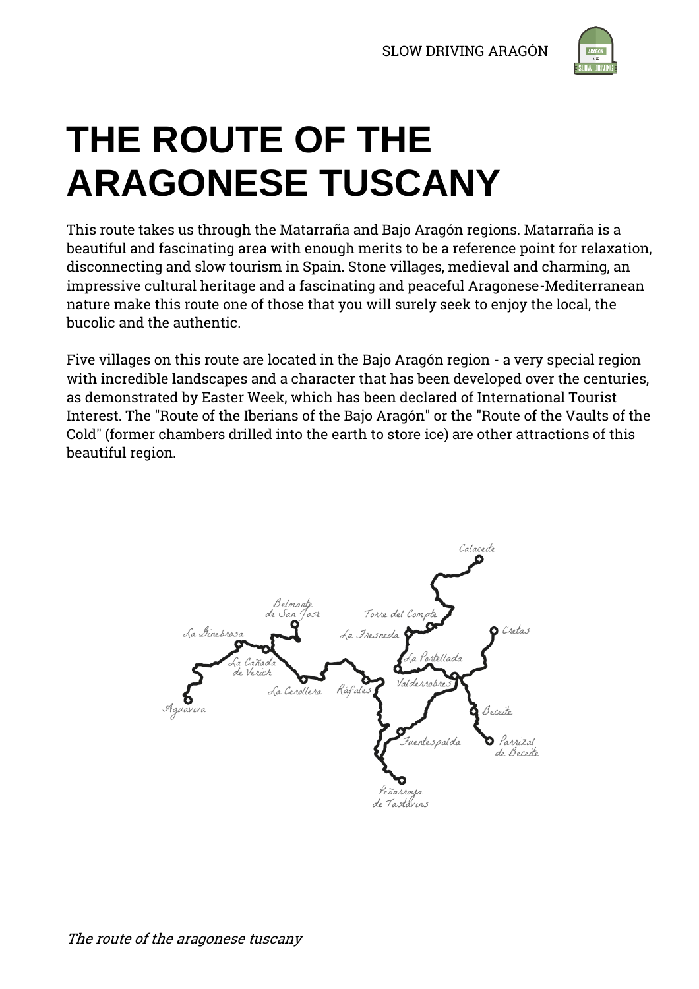

# **THE ROUTE OF THE ARAGONESE TUSCANY**

This route takes us through the Matarraña and Bajo Aragón regions. Matarraña is a beautiful and fascinating area with enough merits to be a reference point for relaxation, disconnecting and slow tourism in Spain. Stone villages, medieval and charming, an impressive cultural heritage and a fascinating and peaceful Aragonese-Mediterranean nature make this route one of those that you will surely seek to enjoy the local, the bucolic and the authentic.

Five villages on this route are located in the Bajo Aragón region - a very special region with incredible landscapes and a character that has been developed over the centuries, as demonstrated by Easter Week, which has been declared of International Tourist Interest. The "Route of the Iberians of the Bajo Aragón" or the "Route of the Vaults of the Cold" (former chambers drilled into the earth to store ice) are other attractions of this beautiful region.

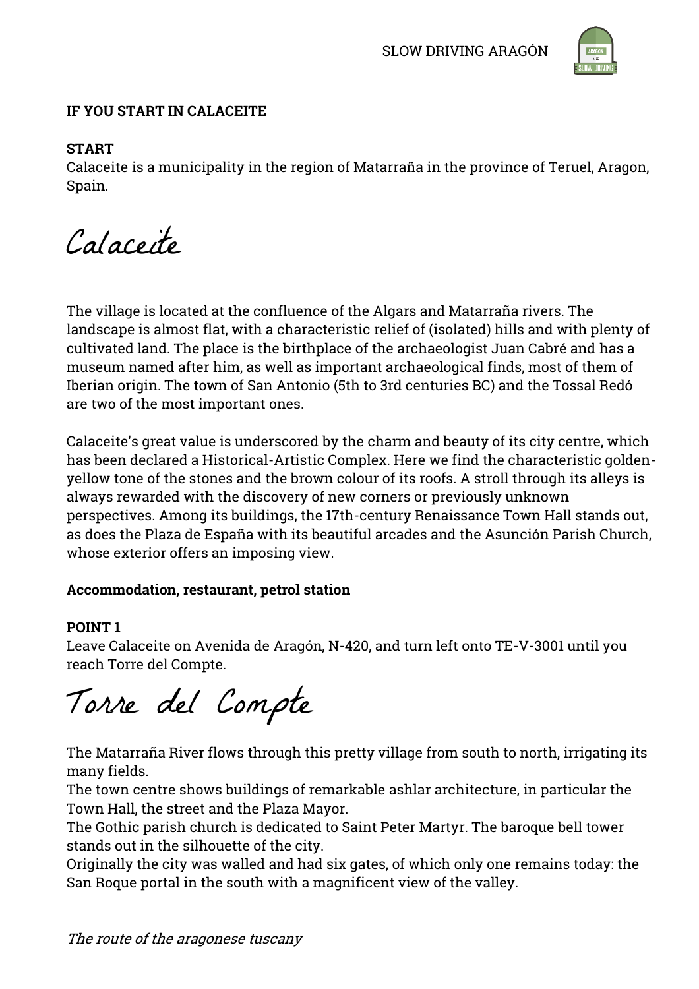

# **IF YOU START IN CALACEITE**

# **START**

Calaceite is a municipality in the region of Matarraña in the province of Teruel, Aragon, Spain.

Calaceite

The village is located at the confluence of the Algars and Matarraña rivers. The landscape is almost flat, with a characteristic relief of (isolated) hills and with plenty of cultivated land. The place is the birthplace of the archaeologist Juan Cabré and has a museum named after him, as well as important archaeological finds, most of them of Iberian origin. The town of San Antonio (5th to 3rd centuries BC) and the Tossal Redó are two of the most important ones.

Calaceite's great value is underscored by the charm and beauty of its city centre, which has been declared a Historical-Artistic Complex. Here we find the characteristic goldenyellow tone of the stones and the brown colour of its roofs. A stroll through its alleys is always rewarded with the discovery of new corners or previously unknown perspectives. Among its buildings, the 17th-century Renaissance Town Hall stands out, as does the Plaza de España with its beautiful arcades and the Asunción Parish Church, whose exterior offers an imposing view.

# **Accommodation, restaurant, petrol station**

# **POINT 1**

Leave Calaceite on Avenida de Aragón, N-420, and turn left onto TE-V-3001 until you reach Torre del Compte.

Torre del Compte

The Matarraña River flows through this pretty village from south to north, irrigating its many fields.

The town centre shows buildings of remarkable ashlar architecture, in particular the Town Hall, the street and the Plaza Mayor.

The Gothic parish church is dedicated to Saint Peter Martyr. The baroque bell tower stands out in the silhouette of the city.

Originally the city was walled and had six gates, of which only one remains today: the San Roque portal in the south with a magnificent view of the valley.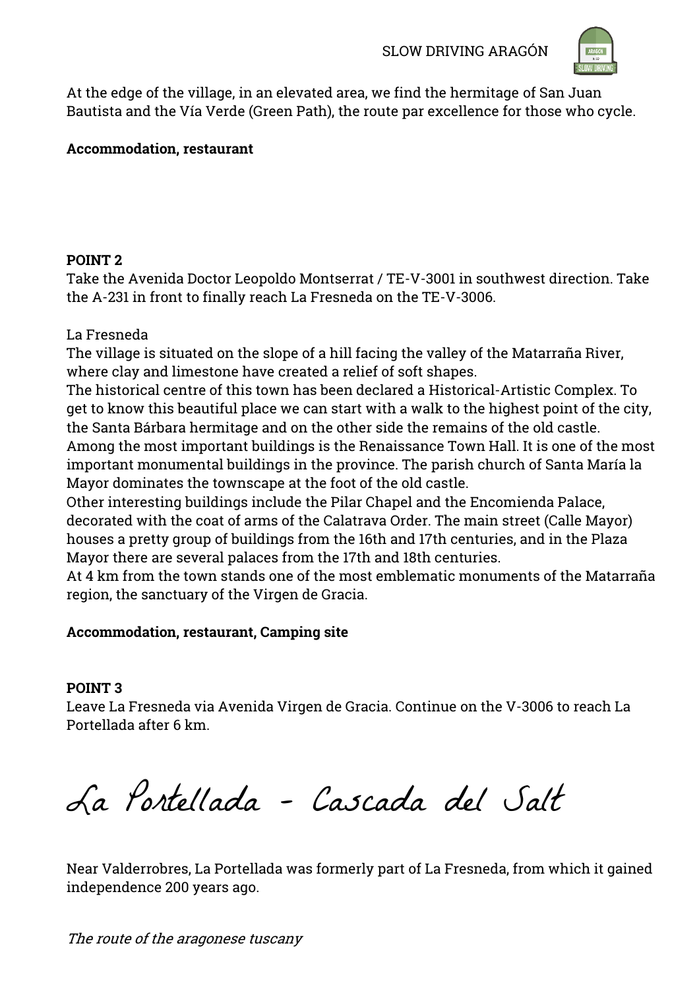

At the edge of the village, in an elevated area, we find the hermitage of San Juan Bautista and the Vía Verde (Green Path), the route par excellence for those who cycle.

# **Accommodation, restaurant**

# **POINT 2**

Take the Avenida Doctor Leopoldo Montserrat / TE-V-3001 in southwest direction. Take the A-231 in front to finally reach La Fresneda on the TE-V-3006.

# La Fresneda

The village is situated on the slope of a hill facing the valley of the Matarraña River, where clay and limestone have created a relief of soft shapes.

The historical centre of this town has been declared a Historical-Artistic Complex. To get to know this beautiful place we can start with a walk to the highest point of the city, the Santa Bárbara hermitage and on the other side the remains of the old castle. Among the most important buildings is the Renaissance Town Hall. It is one of the most important monumental buildings in the province. The parish church of Santa María la Mayor dominates the townscape at the foot of the old castle.

Other interesting buildings include the Pilar Chapel and the Encomienda Palace, decorated with the coat of arms of the Calatrava Order. The main street (Calle Mayor) houses a pretty group of buildings from the 16th and 17th centuries, and in the Plaza Mayor there are several palaces from the 17th and 18th centuries.

At 4 km from the town stands one of the most emblematic monuments of the Matarraña region, the sanctuary of the Virgen de Gracia.

# **Accommodation, restaurant, Camping site**

# **POINT 3**

Leave La Fresneda via Avenida Virgen de Gracia. Continue on the V-3006 to reach La Portellada after 6 km.

La Portellada – Cascada del Salt

Near Valderrobres, La Portellada was formerly part of La Fresneda, from which it gained independence 200 years ago.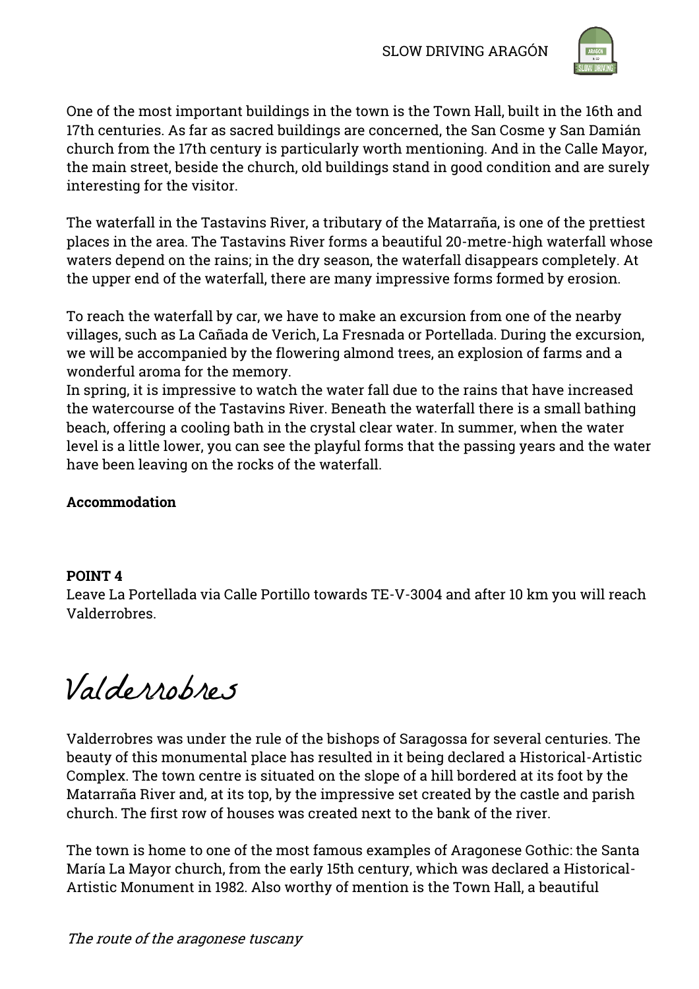

One of the most important buildings in the town is the Town Hall, built in the 16th and 17th centuries. As far as sacred buildings are concerned, the San Cosme y San Damián church from the 17th century is particularly worth mentioning. And in the Calle Mayor, the main street, beside the church, old buildings stand in good condition and are surely interesting for the visitor.

The waterfall in the Tastavins River, a tributary of the Matarraña, is one of the prettiest places in the area. The Tastavins River forms a beautiful 20-metre-high waterfall whose waters depend on the rains; in the dry season, the waterfall disappears completely. At the upper end of the waterfall, there are many impressive forms formed by erosion.

To reach the waterfall by car, we have to make an excursion from one of the nearby villages, such as La Cañada de Verich, La Fresnada or Portellada. During the excursion, we will be accompanied by the flowering almond trees, an explosion of farms and a wonderful aroma for the memory.

In spring, it is impressive to watch the water fall due to the rains that have increased the watercourse of the Tastavins River. Beneath the waterfall there is a small bathing beach, offering a cooling bath in the crystal clear water. In summer, when the water level is a little lower, you can see the playful forms that the passing years and the water have been leaving on the rocks of the waterfall.

# **Accommodation**

# **POINT 4**

Leave La Portellada via Calle Portillo towards TE-V-3004 and after 10 km you will reach Valderrobres.

Valderrobres

Valderrobres was under the rule of the bishops of Saragossa for several centuries. The beauty of this monumental place has resulted in it being declared a Historical-Artistic Complex. The town centre is situated on the slope of a hill bordered at its foot by the Matarraña River and, at its top, by the impressive set created by the castle and parish church. The first row of houses was created next to the bank of the river.

The town is home to one of the most famous examples of Aragonese Gothic: the Santa María La Mayor church, from the early 15th century, which was declared a Historical-Artistic Monument in 1982. Also worthy of mention is the Town Hall, a beautiful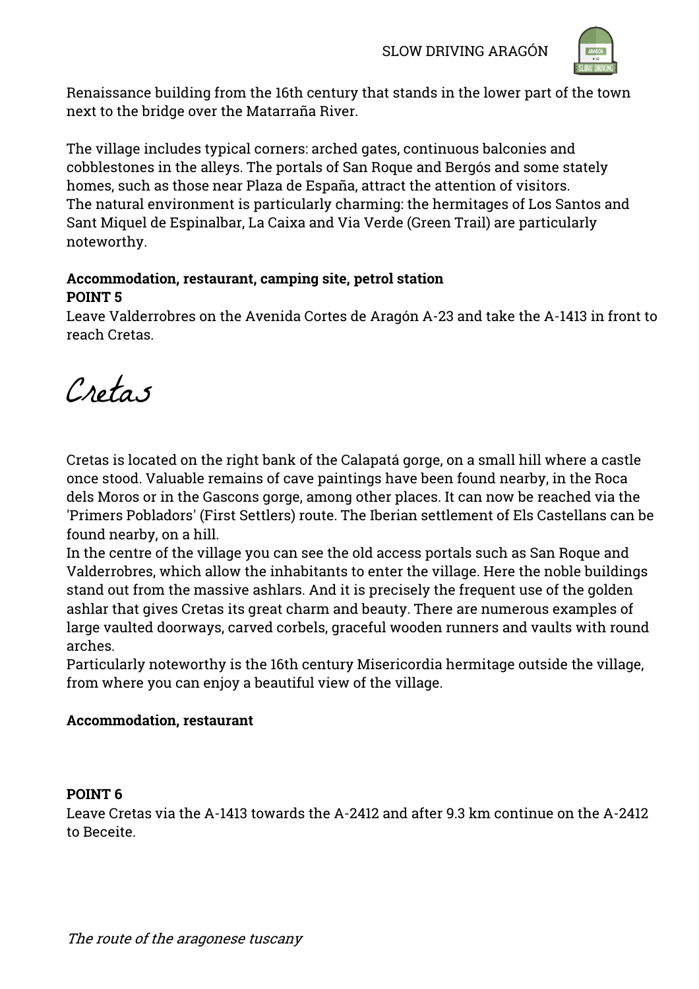

Renaissance building from the 16th century that stands in the lower part of the town next to the bridge over the Matarraña River.

The village includes typical corners: arched gates, continuous balconies and cobblestones in the alleys. The portals of San Roque and Bergós and some stately homes, such as those near Plaza de España, attract the attention of visitors. The natural environment is particularly charming: the hermitages of Los Santos and Sant Miquel de Espinalbar, La Caixa and Via Verde (Green Trail) are particularly noteworthy.

# **Accommodation, restaurant, camping site, petrol station POINT 5**

Leave Valderrobres on the Avenida Cortes de Aragón A-23 and take the A-1413 in front to reach Cretas.

Cretas

Cretas is located on the right bank of the Calapatá gorge, on a small hill where a castle once stood. Valuable remains of cave paintings have been found nearby, in the Roca dels Moros or in the Gascons gorge, among other places. It can now be reached via the 'Primers Pobladors' (First Settlers) route. The Iberian settlement of Els Castellans can be found nearby, on a hill.

In the centre of the village you can see the old access portals such as San Roque and Valderrobres, which allow the inhabitants to enter the village. Here the noble buildings stand out from the massive ashlars. And it is precisely the frequent use of the golden ashlar that gives Cretas its great charm and beauty. There are numerous examples of large vaulted doorways, carved corbels, graceful wooden runners and vaults with round arches.

Particularly noteworthy is the 16th century Misericordia hermitage outside the village, from where you can enjoy a beautiful view of the village.

# **Accommodation, restaurant**

# **POINT 6**

Leave Cretas via the A-1413 towards the A-2412 and after 9.3 km continue on the A-2412 to Beceite.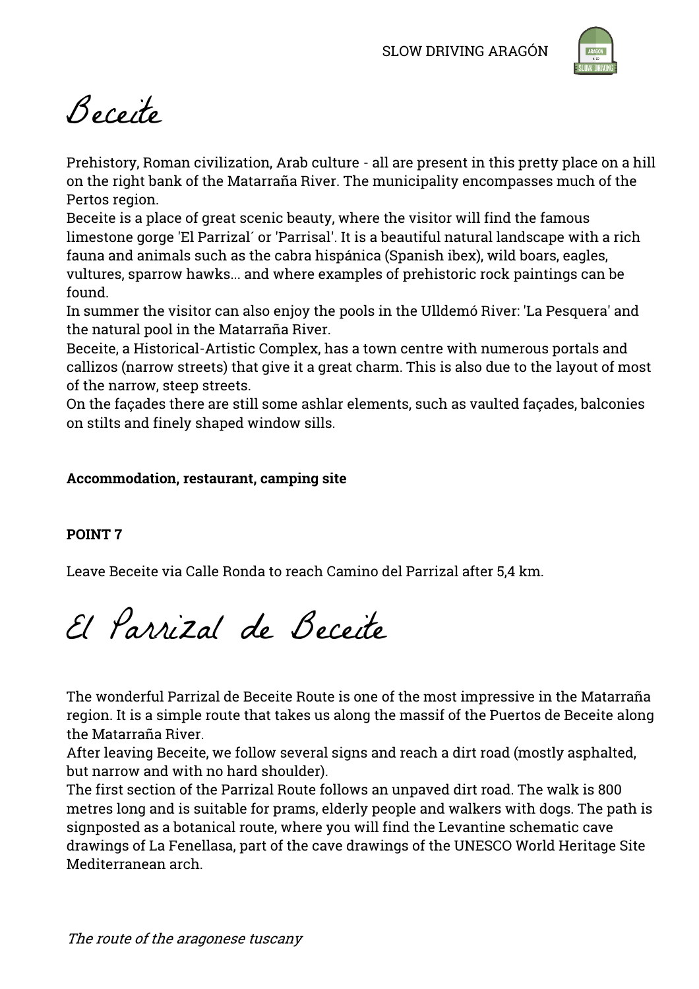

Beceite

Prehistory, Roman civilization, Arab culture - all are present in this pretty place on a hill on the right bank of the Matarraña River. The municipality encompasses much of the Pertos region.

Beceite is a place of great scenic beauty, where the visitor will find the famous limestone gorge 'El Parrizal´ or 'Parrisal'. It is a beautiful natural landscape with a rich fauna and animals such as the cabra hispánica (Spanish ibex), wild boars, eagles, vultures, sparrow hawks... and where examples of prehistoric rock paintings can be found.

In summer the visitor can also enjoy the pools in the Ulldemó River: 'La Pesquera' and the natural pool in the Matarraña River.

Beceite, a Historical-Artistic Complex, has a town centre with numerous portals and callizos (narrow streets) that give it a great charm. This is also due to the layout of most of the narrow, steep streets.

On the façades there are still some ashlar elements, such as vaulted façades, balconies on stilts and finely shaped window sills.

# **Accommodation, restaurant, camping site**

# **POINT 7**

Leave Beceite via Calle Ronda to reach Camino del Parrizal after 5,4 km.

El Parrizal de Beceite

The wonderful Parrizal de Beceite Route is one of the most impressive in the Matarraña region. It is a simple route that takes us along the massif of the Puertos de Beceite along the Matarraña River.

After leaving Beceite, we follow several signs and reach a dirt road (mostly asphalted, but narrow and with no hard shoulder).

The first section of the Parrizal Route follows an unpaved dirt road. The walk is 800 metres long and is suitable for prams, elderly people and walkers with dogs. The path is signposted as a botanical route, where you will find the Levantine schematic cave drawings of La Fenellasa, part of the cave drawings of the UNESCO World Heritage Site Mediterranean arch.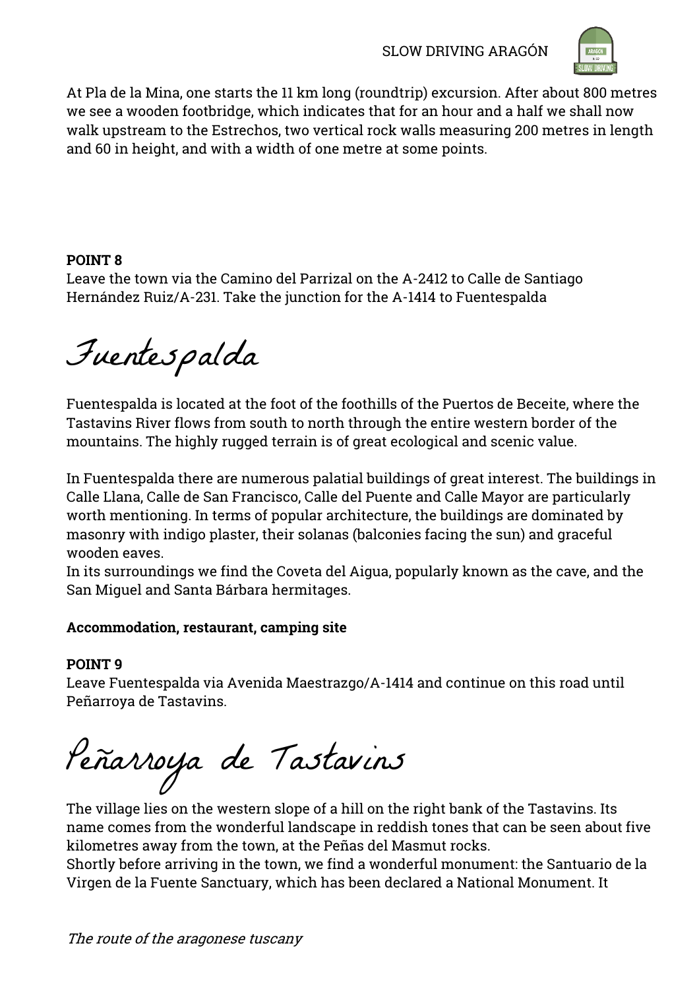

At Pla de la Mina, one starts the 11 km long (roundtrip) excursion. After about 800 metres we see a wooden footbridge, which indicates that for an hour and a half we shall now walk upstream to the Estrechos, two vertical rock walls measuring 200 metres in length and 60 in height, and with a width of one metre at some points.

# **POINT 8**

Leave the town via the Camino del Parrizal on the A-2412 to Calle de Santiago Hernández Ruiz/A-231. Take the junction for the A-1414 to Fuentespalda

Fuentespalda

Fuentespalda is located at the foot of the foothills of the Puertos de Beceite, where the Tastavins River flows from south to north through the entire western border of the mountains. The highly rugged terrain is of great ecological and scenic value.

In Fuentespalda there are numerous palatial buildings of great interest. The buildings in Calle Llana, Calle de San Francisco, Calle del Puente and Calle Mayor are particularly worth mentioning. In terms of popular architecture, the buildings are dominated by masonry with indigo plaster, their solanas (balconies facing the sun) and graceful wooden eaves.

In its surroundings we find the Coveta del Aigua, popularly known as the cave, and the San Miguel and Santa Bárbara hermitages.

# **Accommodation, restaurant, camping site**

# **POINT 9**

Leave Fuentespalda via Avenida Maestrazgo/A-1414 and continue on this road until Peñarroya de Tastavins.

Peñarroya de Tastavins

The village lies on the western slope of a hill on the right bank of the Tastavins. Its name comes from the wonderful landscape in reddish tones that can be seen about five kilometres away from the town, at the Peñas del Masmut rocks.

Shortly before arriving in the town, we find a wonderful monument: the Santuario de la Virgen de la Fuente Sanctuary, which has been declared a National Monument. It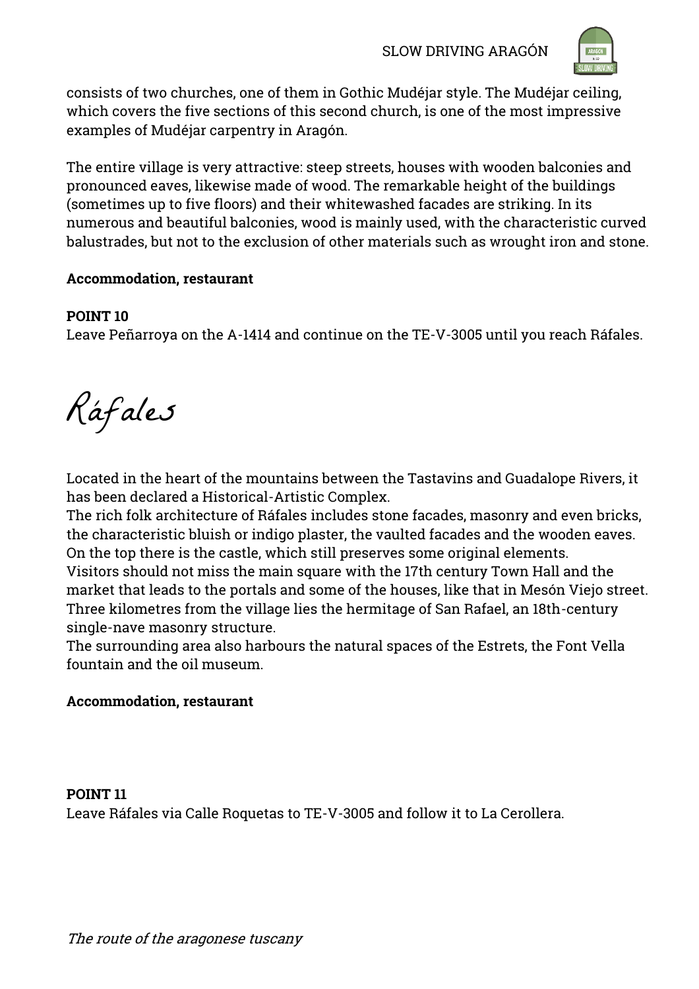

consists of two churches, one of them in Gothic Mudéjar style. The Mudéjar ceiling, which covers the five sections of this second church, is one of the most impressive examples of Mudéjar carpentry in Aragón.

The entire village is very attractive: steep streets, houses with wooden balconies and pronounced eaves, likewise made of wood. The remarkable height of the buildings (sometimes up to five floors) and their whitewashed facades are striking. In its numerous and beautiful balconies, wood is mainly used, with the characteristic curved balustrades, but not to the exclusion of other materials such as wrought iron and stone.

# **Accommodation, restaurant**

# **POINT 10**

Leave Peñarroya on the A-1414 and continue on the TE-V-3005 until you reach Ráfales.

Ráfales

Located in the heart of the mountains between the Tastavins and Guadalope Rivers, it has been declared a Historical-Artistic Complex.

The rich folk architecture of Ráfales includes stone facades, masonry and even bricks, the characteristic bluish or indigo plaster, the vaulted facades and the wooden eaves. On the top there is the castle, which still preserves some original elements. Visitors should not miss the main square with the 17th century Town Hall and the market that leads to the portals and some of the houses, like that in Mesón Viejo street.

Three kilometres from the village lies the hermitage of San Rafael, an 18th-century single-nave masonry structure.

The surrounding area also harbours the natural spaces of the Estrets, the Font Vella fountain and the oil museum.

# **Accommodation, restaurant**

# **POINT 11** Leave Ráfales via Calle Roquetas to TE-V-3005 and follow it to La Cerollera.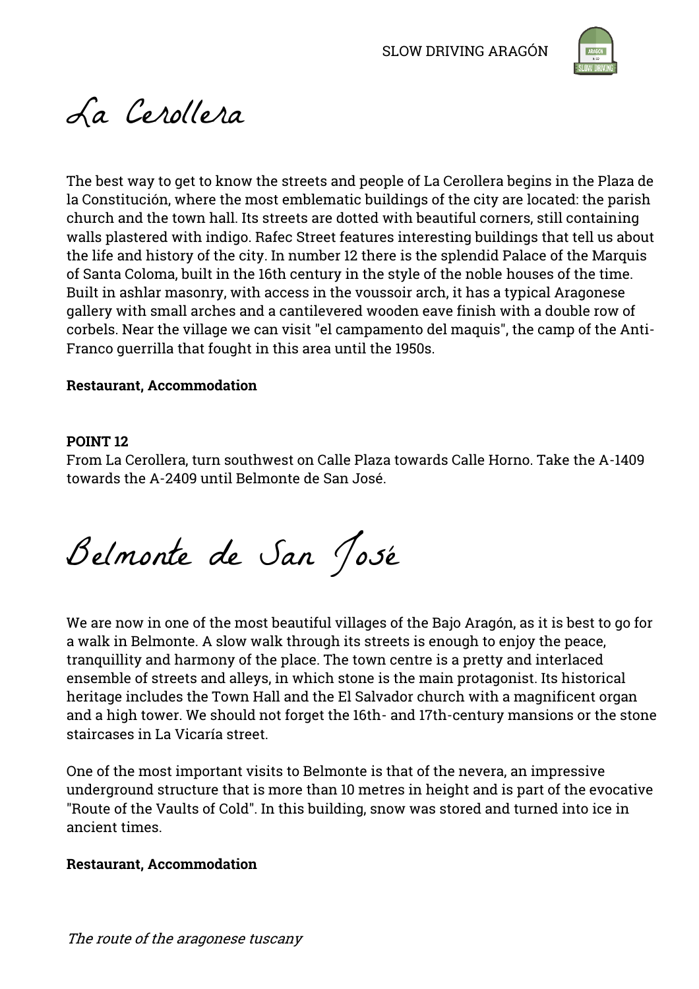

# La Cerollera

The best way to get to know the streets and people of La Cerollera begins in the Plaza de la Constitución, where the most emblematic buildings of the city are located: the parish church and the town hall. Its streets are dotted with beautiful corners, still containing walls plastered with indigo. Rafec Street features interesting buildings that tell us about the life and history of the city. In number 12 there is the splendid Palace of the Marquis of Santa Coloma, built in the 16th century in the style of the noble houses of the time. Built in ashlar masonry, with access in the voussoir arch, it has a typical Aragonese gallery with small arches and a cantilevered wooden eave finish with a double row of corbels. Near the village we can visit "el campamento del maquis", the camp of the Anti-Franco guerrilla that fought in this area until the 1950s.

# **Restaurant, Accommodation**

# **POINT 12**

From La Cerollera, turn southwest on Calle Plaza towards Calle Horno. Take the A-1409 towards the A-2409 until Belmonte de San José.

Belmonte de San José

We are now in one of the most beautiful villages of the Bajo Aragón, as it is best to go for a walk in Belmonte. A slow walk through its streets is enough to enjoy the peace, tranquillity and harmony of the place. The town centre is a pretty and interlaced ensemble of streets and alleys, in which stone is the main protagonist. Its historical heritage includes the Town Hall and the El Salvador church with a magnificent organ and a high tower. We should not forget the 16th- and 17th-century mansions or the stone staircases in La Vicaría street.

One of the most important visits to Belmonte is that of the nevera, an impressive underground structure that is more than 10 metres in height and is part of the evocative "Route of the Vaults of Cold". In this building, snow was stored and turned into ice in ancient times.

# **Restaurant, Accommodation**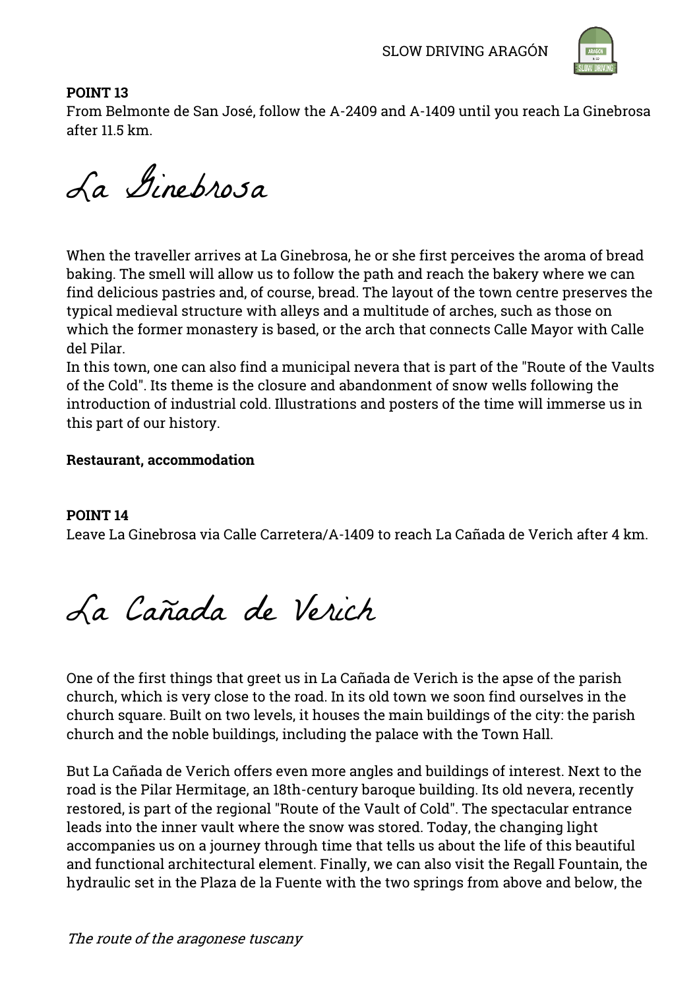

# **POINT 13**

From Belmonte de San José, follow the A-2409 and A-1409 until you reach La Ginebrosa after 11.5 km.

La Ginebrosa

When the traveller arrives at La Ginebrosa, he or she first perceives the aroma of bread baking. The smell will allow us to follow the path and reach the bakery where we can find delicious pastries and, of course, bread. The layout of the town centre preserves the typical medieval structure with alleys and a multitude of arches, such as those on which the former monastery is based, or the arch that connects Calle Mayor with Calle del Pilar.

In this town, one can also find a municipal nevera that is part of the "Route of the Vaults of the Cold". Its theme is the closure and abandonment of snow wells following the introduction of industrial cold. Illustrations and posters of the time will immerse us in this part of our history.

# **Restaurant, accommodation**

# **POINT 14**

Leave La Ginebrosa via Calle Carretera/A-1409 to reach La Cañada de Verich after 4 km.

La Cañada de Verich

One of the first things that greet us in La Cañada de Verich is the apse of the parish church, which is very close to the road. In its old town we soon find ourselves in the church square. Built on two levels, it houses the main buildings of the city: the parish church and the noble buildings, including the palace with the Town Hall.

But La Cañada de Verich offers even more angles and buildings of interest. Next to the road is the Pilar Hermitage, an 18th-century baroque building. Its old nevera, recently restored, is part of the regional "Route of the Vault of Cold". The spectacular entrance leads into the inner vault where the snow was stored. Today, the changing light accompanies us on a journey through time that tells us about the life of this beautiful and functional architectural element. Finally, we can also visit the Regall Fountain, the hydraulic set in the Plaza de la Fuente with the two springs from above and below, the